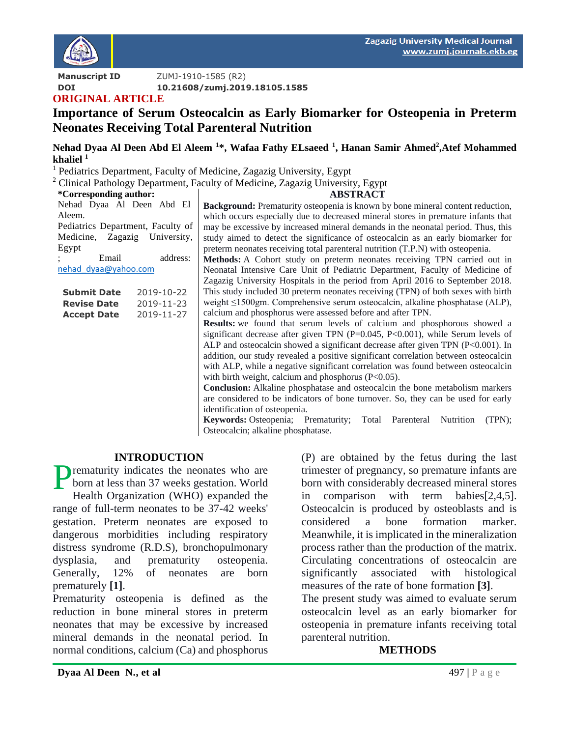

**Manuscript ID ZUMJ-1910-1585 (R2) DOI 10.21608/zumj.2019.18105.1585**

### **ORIGINAL ARTICLE**

# **Importance of Serum Osteocalcin as Early Biomarker for Osteopenia in Preterm Neonates Receiving Total Parenteral Nutrition**

**Nehad Dyaa Al Deen Abd El Aleem <sup>1</sup>\*, Wafaa Fathy ELsaeed <sup>1</sup> , Hanan Samir Ahmed<sup>2</sup> ,Atef Mohammed khaliel <sup>1</sup>**

<sup>1</sup> Pediatrics Department, Faculty of Medicine, Zagazig University, Egypt

<sup>2</sup> Clinical Pathology Department, Faculty of Medicine, Zagazig University, Egypt

**\*Corresponding author:**

| Nehad Dyaa Al Deen Abd El         |  |  |  |  |  |
|-----------------------------------|--|--|--|--|--|
| Aleem.                            |  |  |  |  |  |
| Pediatrics Department, Faculty of |  |  |  |  |  |
| Medicine, Zagazig University,     |  |  |  |  |  |
| Egypt                             |  |  |  |  |  |

; Email address: [nehad\\_dyaa@yahoo.com](mailto:nehad_dyaa@yahoo.com)

| <b>Submit Date</b> | 2019-10-22 |
|--------------------|------------|
| <b>Revise Date</b> | 2019-11-23 |
| <b>Accept Date</b> | 2019-11-27 |

**ABSTRACT**

**Background:** Prematurity osteopenia is known by bone mineral content reduction, which occurs especially due to decreased mineral stores in premature infants that may be excessive by increased mineral demands in the neonatal period. Thus, this study aimed to detect the significance of osteocalcin as an early biomarker for preterm neonates receiving total parenteral nutrition (T.P.N) with osteopenia.

**Methods:** A Cohort study on preterm neonates receiving TPN carried out in Neonatal Intensive Care Unit of Pediatric Department, Faculty of Medicine of Zagazig University Hospitals in the period from April 2016 to September 2018. This study included 30 preterm neonates receiving (TPN) of both sexes with birth weight ≤1500gm. Comprehensive serum osteocalcin, alkaline phosphatase (ALP), calcium and phosphorus were assessed before and after TPN.

**Results:** we found that serum levels of calcium and phosphorous showed a significant decrease after given TPN  $(P=0.045, P<0.001)$ , while Serum levels of ALP and osteocalcin showed a significant decrease after given TPN (P<0.001). In addition, our study revealed a positive significant correlation between osteocalcin with ALP, while a negative significant correlation was found between osteocalcin with birth weight, calcium and phosphorus (P<0.05).

**Conclusion:** Alkaline phosphatase and osteocalcin the bone metabolism markers are considered to be indicators of bone turnover. So, they can be used for early identification of osteopenia.

**Keywords:** Osteopenia; Prematurity; Total Parenteral Nutrition (TPN); Osteocalcin; alkaline phosphatase.

#### **INTRODUCTION**

**P**rematurity indicates the neonates who are<br>born at less than 37 weeks gestation. World born at less than 37 weeks gestation. World Health Organization (WHO) expanded the range of full-term neonates to be 37-42 weeks' gestation. Preterm neonates are exposed to dangerous morbidities including respiratory distress syndrome (R.D.S), bronchopulmonary dysplasia, and prematurity osteopenia. Generally, 12% of neonates are born prematurely **[1]**.

Prematurity osteopenia is defined as the reduction in bone mineral stores in preterm neonates that may be excessive by increased mineral demands in the neonatal period. In normal conditions, calcium (Ca) and phosphorus

(P) are obtained by the fetus during the last trimester of pregnancy, so premature infants are born with considerably decreased mineral stores in comparison with term babies[2,4,5]. Osteocalcin is produced by osteoblasts and is considered a bone formation marker. Meanwhile, it is implicated in the mineralization process rather than the production of the matrix. Circulating concentrations of osteocalcin are significantly associated with histological measures of the rate of bone formation **[3]**.

The present study was aimed to evaluate serum osteocalcin level as an early biomarker for osteopenia in premature infants receiving total parenteral nutrition.

#### **METHODS**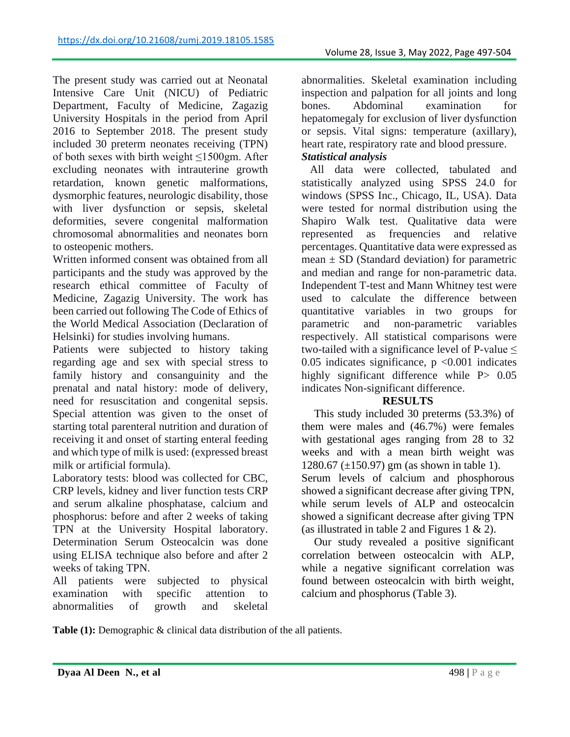The present study was carried out at Neonatal Intensive Care Unit (NICU) of Pediatric Department, Faculty of Medicine, Zagazig University Hospitals in the period from April 2016 to September 2018. The present study included 30 preterm neonates receiving (TPN) of both sexes with birth weight ≤1500gm. After excluding neonates with intrauterine growth retardation, known genetic malformations, dysmorphic features, neurologic disability, those with liver dysfunction or sepsis, skeletal deformities, severe congenital malformation chromosomal abnormalities and neonates born to osteopenic mothers.

Written informed consent was obtained from all participants and the study was approved by the research ethical committee of Faculty of Medicine, Zagazig University. The work has been carried out following The Code of Ethics of the World Medical Association (Declaration of Helsinki) for studies involving humans.

Patients were subjected to history taking regarding age and sex with special stress to family history and consanguinity and the prenatal and natal history: mode of delivery, need for resuscitation and congenital sepsis. Special attention was given to the onset of starting total parenteral nutrition and duration of receiving it and onset of starting enteral feeding and which type of milk is used: (expressed breast milk or artificial formula).

Laboratory tests: blood was collected for CBC, CRP levels, kidney and liver function tests CRP and serum alkaline phosphatase, calcium and phosphorus: before and after 2 weeks of taking TPN at the University Hospital laboratory. Determination Serum Osteocalcin was done using ELISA technique also before and after 2 weeks of taking TPN.

All patients were subjected to physical examination with specific attention to abnormalities of growth and skeletal

abnormalities. Skeletal examination including inspection and palpation for all joints and long bones. Abdominal examination for hepatomegaly for exclusion of liver dysfunction or sepsis. Vital signs: temperature (axillary), heart rate, respiratory rate and blood pressure. *Statistical analysis*

All data were collected, tabulated and statistically analyzed using SPSS 24.0 for windows (SPSS Inc., Chicago, IL, USA). Data were tested for normal distribution using the Shapiro Walk test. Qualitative data were represented as frequencies and relative percentages. Quantitative data were expressed as mean  $\pm$  SD (Standard deviation) for parametric and median and range for non-parametric data. Independent T-test and Mann Whitney test were used to calculate the difference between quantitative variables in two groups for parametric and non-parametric variables respectively. All statistical comparisons were two-tailed with a significance level of P-value  $\leq$ 0.05 indicates significance,  $p \le 0.001$  indicates highly significant difference while P  $0.05$ indicates Non-significant difference.

## **RESULTS**

This study included 30 preterms (53.3%) of them were males and (46.7%) were females with gestational ages ranging from 28 to 32 weeks and with a mean birth weight was 1280.67 (±150.97) gm (as shown in table 1). Serum levels of calcium and phosphorous showed a significant decrease after giving TPN, while serum levels of ALP and osteocalcin showed a significant decrease after giving TPN (as illustrated in table 2 and Figures 1  $\&$  2).

Our study revealed a positive significant correlation between osteocalcin with ALP, while a negative significant correlation was found between osteocalcin with birth weight, calcium and phosphorus (Table 3).

Table (1): Demographic & clinical data distribution of the all patients.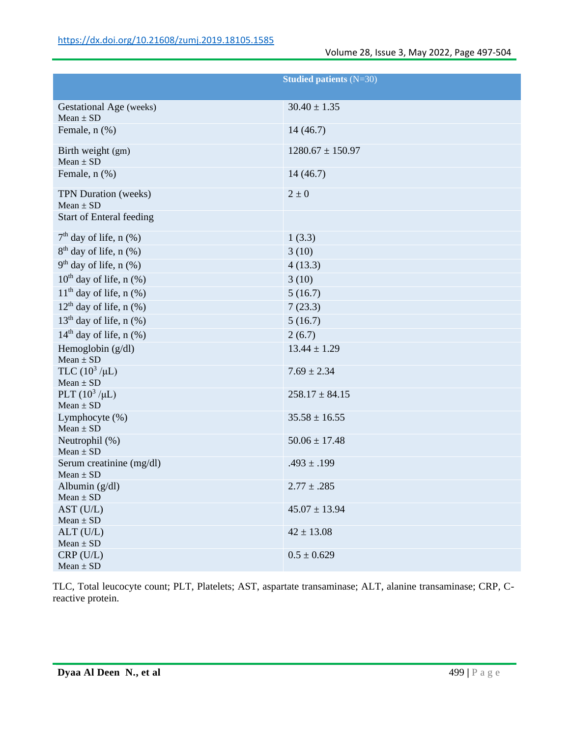| <b>Studied patients (N=30)</b>            |                      |  |
|-------------------------------------------|----------------------|--|
| Gestational Age (weeks)                   | $30.40 \pm 1.35$     |  |
| $Mean \pm SD$                             |                      |  |
| Female, n (%)                             | 14(46.7)             |  |
| Birth weight (gm)<br>$Mean \pm SD$        | $1280.67 \pm 150.97$ |  |
| Female, n (%)                             | 14(46.7)             |  |
| TPN Duration (weeks)<br>$Mean \pm SD$     | $2 \pm 0$            |  |
| <b>Start of Enteral feeding</b>           |                      |  |
| $7th$ day of life, n $(\%)$               | 1(3.3)               |  |
| $8th$ day of life, n $(\%)$               | 3(10)                |  |
| $9th$ day of life, n $(\%)$               | 4(13.3)              |  |
| $10^{th}$ day of life, n $(\% )$          | 3(10)                |  |
| $11th$ day of life, n (%)                 | 5(16.7)              |  |
| $12th$ day of life, n (%)                 | 7(23.3)              |  |
| $13th$ day of life, n $(\%)$              | 5(16.7)              |  |
| $14th$ day of life, n $(\%)$              | 2(6.7)               |  |
| Hemoglobin $(g/dl)$<br>$Mean \pm SD$      | $13.44 \pm 1.29$     |  |
| TLC $(10^3 / \mu L)$<br>$Mean \pm SD$     | $7.69 \pm 2.34$      |  |
| PLT $(10^3/\mu L)$<br>$Mean \pm SD$       | $258.17 \pm 84.15$   |  |
| Lymphocyte (%)<br>$Mean \pm SD$           | $35.58 \pm 16.55$    |  |
| Neutrophil (%)<br>$Mean \pm SD$           | $50.06 \pm 17.48$    |  |
| Serum creatinine (mg/dl)<br>$Mean \pm SD$ | $.493 \pm .199$      |  |
| Albumin (g/dl)<br>$Mean \pm SD$           | $2.77 \pm .285$      |  |
| AST (U/L)<br>$Mean \pm SD$                | $45.07 \pm 13.94$    |  |
| $ALT$ (U/L)<br>$Mean \pm SD$              | $42 \pm 13.08$       |  |
| CRP(U/L)<br>$Mean \pm SD$                 | $0.5 \pm 0.629$      |  |

TLC, Total leucocyte count; PLT, Platelets; AST, aspartate transaminase; ALT, alanine transaminase; CRP, Creactive protein.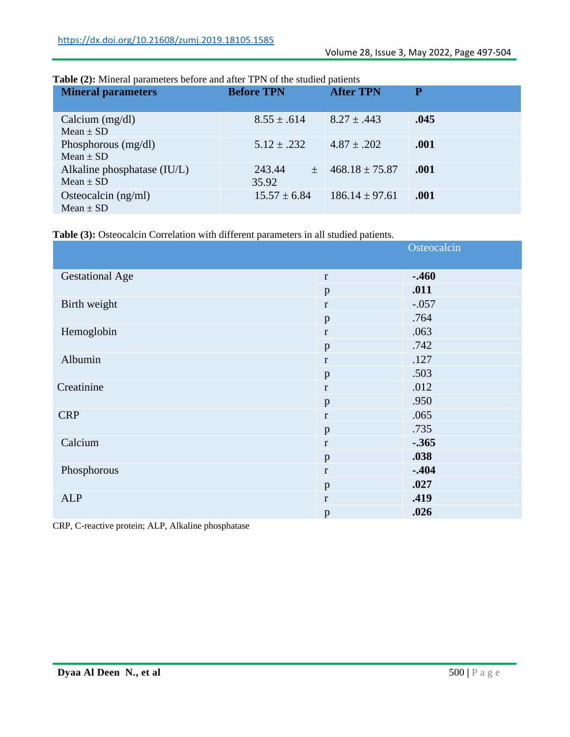| <b>Mineral parameters</b>                    | <b>Before TPN</b>    | <b>After TPN</b>   | P    |
|----------------------------------------------|----------------------|--------------------|------|
| Calcium $(mg/dl)$<br>Mean $\pm$ SD           | $8.55 \pm .614$      | $8.27 \pm .443$    | .045 |
| Phosphorous (mg/dl)<br>$Mean \pm SD$         | $5.12 \pm .232$      | $4.87 \pm .202$    | .001 |
| Alkaline phosphatase (IU/L)<br>Mean $\pm$ SD | 243.44<br>土<br>35.92 | $468.18 \pm 75.87$ | .001 |
| Osteocalcin $(ng/ml)$<br>Mean $\pm$ SD       | $15.57 \pm 6.84$     | $186.14 \pm 97.61$ | .001 |

#### **Table (2):** Mineral parameters before and after TPN of the studied patients

**Table (3):** Osteocalcin Correlation with different parameters in all studied patients.

|                        |              | Osteocalcin |
|------------------------|--------------|-------------|
| <b>Gestational Age</b> | $\bf r$      | $-.460$     |
|                        | p            | .011        |
| Birth weight           | $\bf r$      | $-.057$     |
|                        | p            | .764        |
| Hemoglobin             | $\mathbf r$  | .063        |
|                        | p            | .742        |
| Albumin                | $\bf r$      | .127        |
|                        | $\mathbf{p}$ | .503        |
| Creatinine             | $\bf r$      | .012        |
|                        | p            | .950        |
| <b>CRP</b>             | $\bf r$      | .065        |
|                        | p            | .735        |
| Calcium                | $\bf r$      | $-.365$     |
|                        | p            | .038        |
| Phosphorous            | $\mathbf r$  | $-.404$     |
|                        | p            | .027        |
| <b>ALP</b>             | $\mathbf r$  | .419        |
|                        | p            | .026        |

CRP, C-reactive protein; ALP, Alkaline phosphatase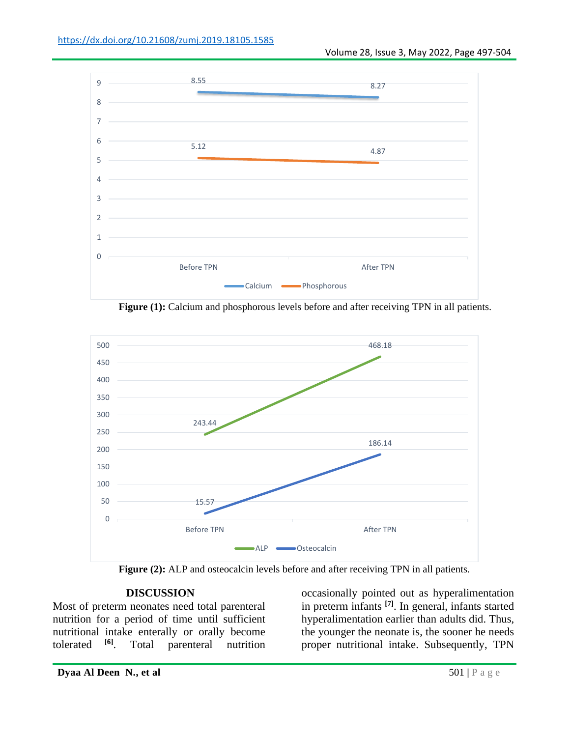

Figure (1): Calcium and phosphorous levels before and after receiving TPN in all patients.



**Figure (2):** ALP and osteocalcin levels before and after receiving TPN in all patients.

#### **DISCUSSION**

Most of preterm neonates need total parenteral nutrition for a period of time until sufficient nutritional intake enterally or orally become tolerated **[6]**. Total parenteral nutrition

occasionally pointed out as hyperalimentation in preterm infants **[7]**. In general, infants started hyperalimentation earlier than adults did. Thus, the younger the neonate is, the sooner he needs proper nutritional intake. Subsequently, TPN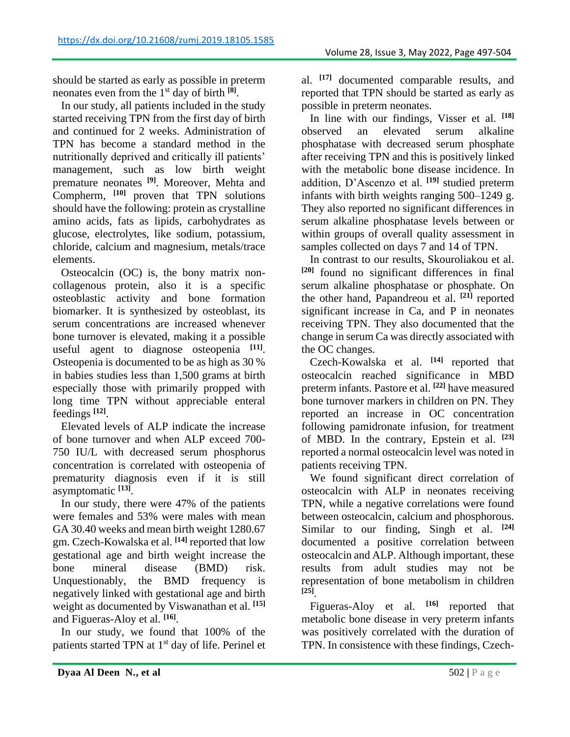should be started as early as possible in preterm neonates even from the 1st day of birth **[8]** .

In our study, all patients included in the study started receiving TPN from the first day of birth and continued for 2 weeks. Administration of TPN has become a standard method in the nutritionally deprived and critically ill patients' management, such as low birth weight premature neonates **[9]**. Moreover, Mehta and Compherm, **[10]** proven that TPN solutions should have the following: protein as crystalline amino acids, fats as lipids, carbohydrates as glucose, electrolytes, like sodium, potassium, chloride, calcium and magnesium, metals/trace elements.

Osteocalcin (OC) is, the bony matrix noncollagenous protein, also it is a specific osteoblastic activity and bone formation biomarker. It is synthesized by osteoblast, its serum concentrations are increased whenever bone turnover is elevated, making it a possible useful agent to diagnose osteopenia **[11]** . Osteopenia is documented to be as high as 30 % in babies studies less than 1,500 grams at birth especially those with primarily propped with long time TPN without appreciable enteral feedings **[12]** .

Elevated levels of ALP indicate the increase of bone turnover and when ALP exceed 700- 750 IU/L with decreased serum phosphorus concentration is correlated with osteopenia of prematurity diagnosis even if it is still asymptomatic **[13]** .

In our study, there were 47% of the patients were females and 53% were males with mean GA 30.40 weeks and mean birth weight 1280.67 gm. Czech-Kowalska et al. **[14]** reported that low gestational age and birth weight increase the bone mineral disease (BMD) risk. Unquestionably, the BMD frequency is negatively linked with gestational age and birth weight as documented by Viswanathan et al. **[15]** and Figueras-Aloy et al. **[16]** .

In our study, we found that 100% of the patients started TPN at 1<sup>st</sup> day of life. Perinel et al. **[17]** documented comparable results, and reported that TPN should be started as early as possible in preterm neonates.

In line with our findings, Visser et al. **[18]** observed an elevated serum alkaline phosphatase with decreased serum phosphate after receiving TPN and this is positively linked with the metabolic bone disease incidence. In addition, D'Ascenzo et al. **[19]** studied preterm infants with birth weights ranging 500–1249 g. They also reported no significant differences in serum alkaline phosphatase levels between or within groups of overall quality assessment in samples collected on days 7 and 14 of TPN.

In contrast to our results, Skouroliakou et al. **[20]** found no significant differences in final serum alkaline phosphatase or phosphate. On the other hand, Papandreou et al. **[21]** reported significant increase in Ca, and P in neonates receiving TPN. They also documented that the change in serum Ca was directly associated with the OC changes.

Czech-Kowalska et al. **[14]** reported that osteocalcin reached significance in MBD preterm infants. Pastore et al. **[22]** have measured bone turnover markers in children on PN. They reported an increase in OC concentration following pamidronate infusion, for treatment of MBD. In the contrary, Epstein et al. **[23]** reported a normal osteocalcin level was noted in patients receiving TPN.

We found significant direct correlation of osteocalcin with ALP in neonates receiving TPN, while a negative correlations were found between osteocalcin, calcium and phosphorous. Similar to our finding, Singh et al. **[24]** documented a positive correlation between osteocalcin and ALP. Although important, these results from adult studies may not be representation of bone metabolism in children **[25]** .

Figueras-Aloy et al. **[16]** reported that metabolic bone disease in very preterm infants was positively correlated with the duration of TPN. In consistence with these findings, Czech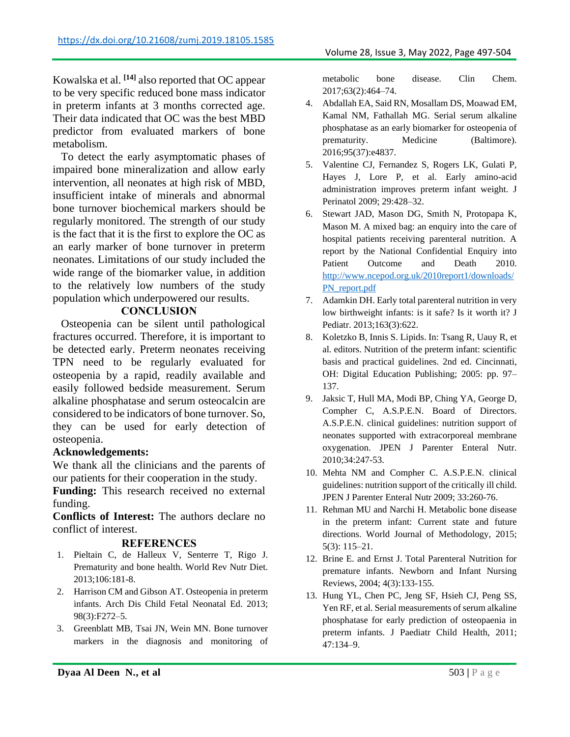Kowalska et al. **[14]** also reported that OC appear to be very specific reduced bone mass indicator in preterm infants at 3 months corrected age. Their data indicated that OC was the best MBD predictor from evaluated markers of bone metabolism.

To detect the early asymptomatic phases of impaired bone mineralization and allow early intervention, all neonates at high risk of MBD, insufficient intake of minerals and abnormal bone turnover biochemical markers should be regularly monitored. The strength of our study is the fact that it is the first to explore the OC as an early marker of bone turnover in preterm neonates. Limitations of our study included the wide range of the biomarker value, in addition to the relatively low numbers of the study population which underpowered our results.

## **CONCLUSION**

Osteopenia can be silent until pathological fractures occurred. Therefore, it is important to be detected early. Preterm neonates receiving TPN need to be regularly evaluated for osteopenia by a rapid, readily available and easily followed bedside measurement. Serum alkaline phosphatase and serum osteocalcin are considered to be indicators of bone turnover. So, they can be used for early detection of osteopenia.

#### **Acknowledgements:**

We thank all the clinicians and the parents of our patients for their cooperation in the study.

**Funding:** This research received no external funding.

**Conflicts of Interest:** The authors declare no conflict of interest.

#### **REFERENCES**

- 1. Pieltain C, de Halleux V, Senterre T, Rigo J. Prematurity and bone health. World Rev Nutr Diet. 2013;106:181-8.
- 2. Harrison CM and Gibson AT. Osteopenia in preterm infants. Arch Dis Child Fetal Neonatal Ed. 2013; 98(3):F272–5.
- 3. Greenblatt MB, Tsai JN, Wein MN. Bone turnover markers in the diagnosis and monitoring of

metabolic bone disease. Clin Chem. 2017;63(2):464–74.

- 4. Abdallah EA, Said RN, Mosallam DS, Moawad EM, Kamal NM, Fathallah MG. Serial serum alkaline phosphatase as an early biomarker for osteopenia of prematurity. Medicine (Baltimore). 2016;95(37):e4837.
- 5. Valentine CJ, Fernandez S, Rogers LK, Gulati P, Hayes J, Lore P, et al. Early amino-acid administration improves preterm infant weight. J Perinatol 2009; 29:428–32.
- 6. Stewart JAD, Mason DG, Smith N, Protopapa K, Mason M. A mixed bag: an enquiry into the care of hospital patients receiving parenteral nutrition. A report by the National Confidential Enquiry into Patient Outcome and Death 2010. [http://www.ncepod.org.uk/2010report1/downloads/](http://www.ncepod.org.uk/2010report1/downloads/PN_report.pdf) [PN\\_report.pdf](http://www.ncepod.org.uk/2010report1/downloads/PN_report.pdf)
- 7. Adamkin DH. Early total parenteral nutrition in very low birthweight infants: is it safe? Is it worth it? J Pediatr. 2013;163(3):622.
- 8. Koletzko B, Innis S. Lipids. In: Tsang R, Uauy R, et al. editors. Nutrition of the preterm infant: scientific basis and practical guidelines. 2nd ed. Cincinnati, OH: Digital Education Publishing; 2005: pp. 97– 137.
- 9. Jaksic T, Hull MA, Modi BP, Ching YA, George D, Compher C, A.S.P.E.N. Board of Directors. A.S.P.E.N. clinical guidelines: nutrition support of neonates supported with extracorporeal membrane oxygenation. JPEN J Parenter Enteral Nutr. 2010;34:247-53.
- 10. Mehta NM and Compher C. A.S.P.E.N. clinical guidelines: nutrition support of the critically ill child. JPEN J Parenter Enteral Nutr 2009; 33:260-76.
- 11. Rehman MU and Narchi H. Metabolic bone disease in the preterm infant: Current state and future directions. World Journal of Methodology, 2015; 5(3): 115–21.
- 12. Brine E. and Ernst J. Total Parenteral Nutrition for premature infants. Newborn and Infant Nursing Reviews, 2004; 4(3):133-155.
- 13. Hung YL, Chen PC, Jeng SF, Hsieh CJ, Peng SS, Yen RF, et al. Serial measurements of serum alkaline phosphatase for early prediction of osteopaenia in preterm infants. J Paediatr Child Health, 2011; 47:134–9.